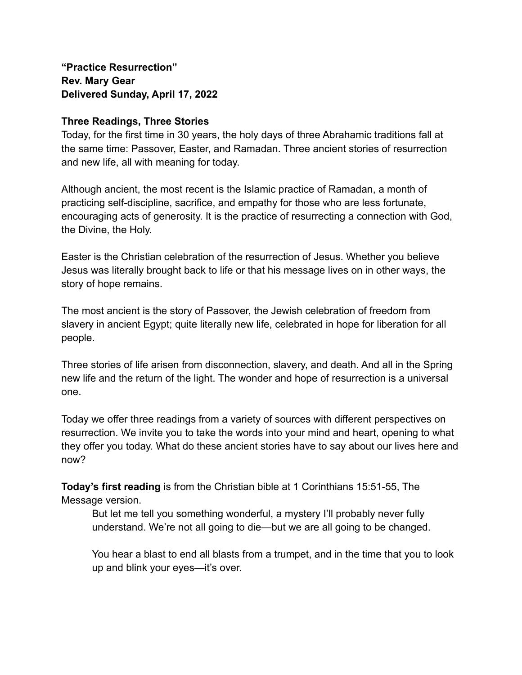**"Practice Resurrection" Rev. Mary Gear Delivered Sunday, April 17, 2022**

## **Three Readings, Three Stories**

Today, for the first time in 30 years, the holy days of three Abrahamic traditions fall at the same time: Passover, Easter, and Ramadan. Three ancient stories of resurrection and new life, all with meaning for today.

Although ancient, the most recent is the Islamic practice of Ramadan, a month of practicing self-discipline, sacrifice, and empathy for those who are less fortunate, encouraging acts of generosity. It is the practice of resurrecting a connection with God, the Divine, the Holy.

Easter is the Christian celebration of the resurrection of Jesus. Whether you believe Jesus was literally brought back to life or that his message lives on in other ways, the story of hope remains.

The most ancient is the story of Passover, the Jewish celebration of freedom from slavery in ancient Egypt; quite literally new life, celebrated in hope for liberation for all people.

Three stories of life arisen from disconnection, slavery, and death. And all in the Spring new life and the return of the light. The wonder and hope of resurrection is a universal one.

Today we offer three readings from a variety of sources with different perspectives on resurrection. We invite you to take the words into your mind and heart, opening to what they offer you today. What do these ancient stories have to say about our lives here and now?

**Today's first reading** is from the Christian bible at 1 Corinthians 15:51-55, The Message version.

But let me tell you something wonderful, a mystery I'll probably never fully understand. We're not all going to die—but we are all going to be changed.

You hear a blast to end all blasts from a trumpet, and in the time that you to look up and blink your eyes—it's over.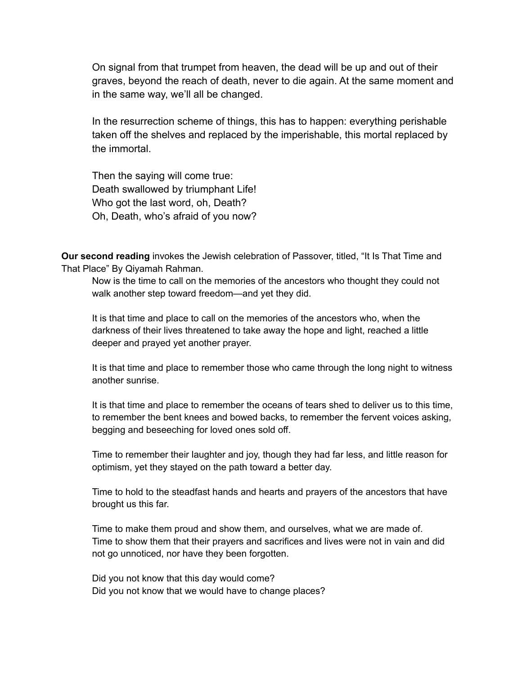On signal from that trumpet from heaven, the dead will be up and out of their graves, beyond the reach of death, never to die again. At the same moment and in the same way, we'll all be changed.

In the resurrection scheme of things, this has to happen: everything perishable taken off the shelves and replaced by the imperishable, this mortal replaced by the immortal.

Then the saying will come true: Death swallowed by triumphant Life! Who got the last word, oh, Death? Oh, Death, who's afraid of you now?

**Our second reading** invokes the Jewish celebration of Passover, titled, "It Is That Time and That Place" By Qiyamah Rahman.

Now is the time to call on the memories of the ancestors who thought they could not walk another step toward freedom—and yet they did.

It is that time and place to call on the memories of the ancestors who, when the darkness of their lives threatened to take away the hope and light, reached a little deeper and prayed yet another prayer.

It is that time and place to remember those who came through the long night to witness another sunrise.

It is that time and place to remember the oceans of tears shed to deliver us to this time, to remember the bent knees and bowed backs, to remember the fervent voices asking, begging and beseeching for loved ones sold off.

Time to remember their laughter and joy, though they had far less, and little reason for optimism, yet they stayed on the path toward a better day.

Time to hold to the steadfast hands and hearts and prayers of the ancestors that have brought us this far.

Time to make them proud and show them, and ourselves, what we are made of. Time to show them that their prayers and sacrifices and lives were not in vain and did not go unnoticed, nor have they been forgotten.

Did you not know that this day would come? Did you not know that we would have to change places?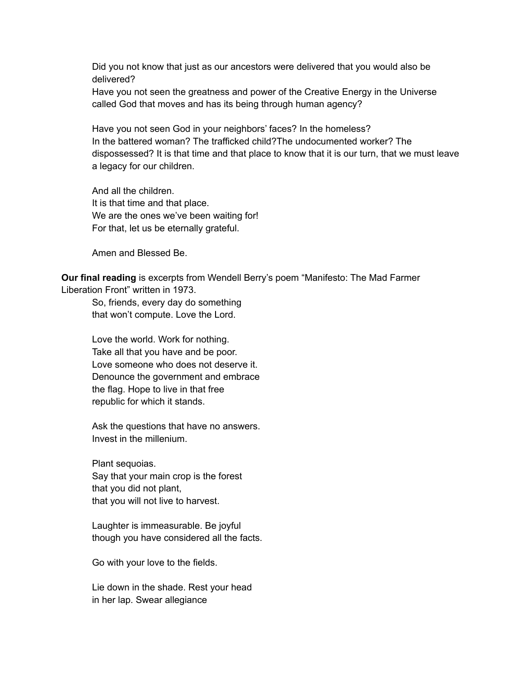Did you not know that just as our ancestors were delivered that you would also be delivered?

Have you not seen the greatness and power of the Creative Energy in the Universe called God that moves and has its being through human agency?

Have you not seen God in your neighbors' faces? In the homeless? In the battered woman? The trafficked child?The undocumented worker? The dispossessed? It is that time and that place to know that it is our turn, that we must leave a legacy for our children.

And all the children. It is that time and that place. We are the ones we've been waiting for! For that, let us be eternally grateful.

Amen and Blessed Be.

**Our final reading** is excerpts from Wendell Berry's poem "Manifesto: The Mad Farmer Liberation Front" written in 1973.

So, friends, every day do something that won't compute. Love the Lord.

Love the world. Work for nothing. Take all that you have and be poor. Love someone who does not deserve it. Denounce the government and embrace the flag. Hope to live in that free republic for which it stands.

Ask the questions that have no answers. Invest in the millenium.

Plant sequoias. Say that your main crop is the forest that you did not plant, that you will not live to harvest.

Laughter is immeasurable. Be joyful though you have considered all the facts.

Go with your love to the fields.

Lie down in the shade. Rest your head in her lap. Swear allegiance